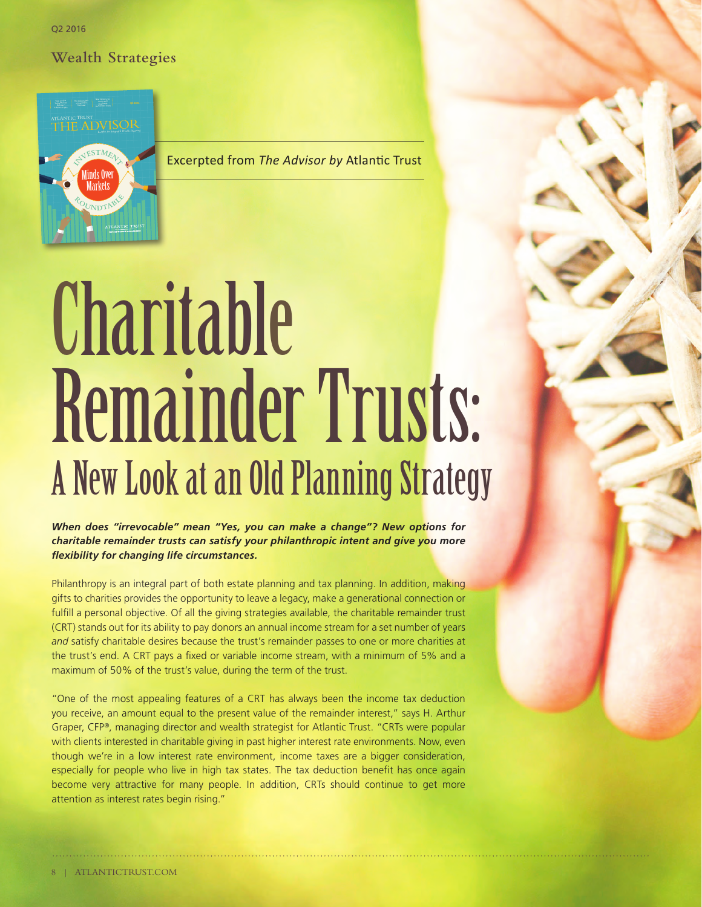Q2 2016 Q2 2016

**Wealth Strategies** 



Excerpted from *The Advisor by* Atlantic Trust

# Charitable Remainder Trusts: A New Look at an Old Planning Strategy

*When does "irrevocable" mean "Yes, you can make a change"? New options for charitable remainder trusts can satisfy your philanthropic intent and give you more flexibility for changing life circumstances.* 

Philanthropy is an integral part of both estate planning and tax planning. In addition, making gifts to charities provides the opportunity to leave a legacy, make a generational connection or fulfill a personal objective. Of all the giving strategies available, the charitable remainder trust (CRT) stands out for its ability to pay donors an annual income stream for a set number of years *and* satisfy charitable desires because the trust's remainder passes to one or more charities at the trust's end. A CRT pays a fixed or variable income stream, with a minimum of 5% and a maximum of 50% of the trust's value, during the term of the trust.

"One of the most appealing features of a CRT has always been the income tax deduction you receive, an amount equal to the present value of the remainder interest," says H. Arthur Graper, CFP®, managing director and wealth strategist for Atlantic Trust. "CRTs were popular with clients interested in charitable giving in past higher interest rate environments. Now, even though we're in a low interest rate environment, income taxes are a bigger consideration, especially for people who live in high tax states. The tax deduction benefit has once again become very attractive for many people. In addition, CRTs should continue to get more attention as interest rates begin rising."

j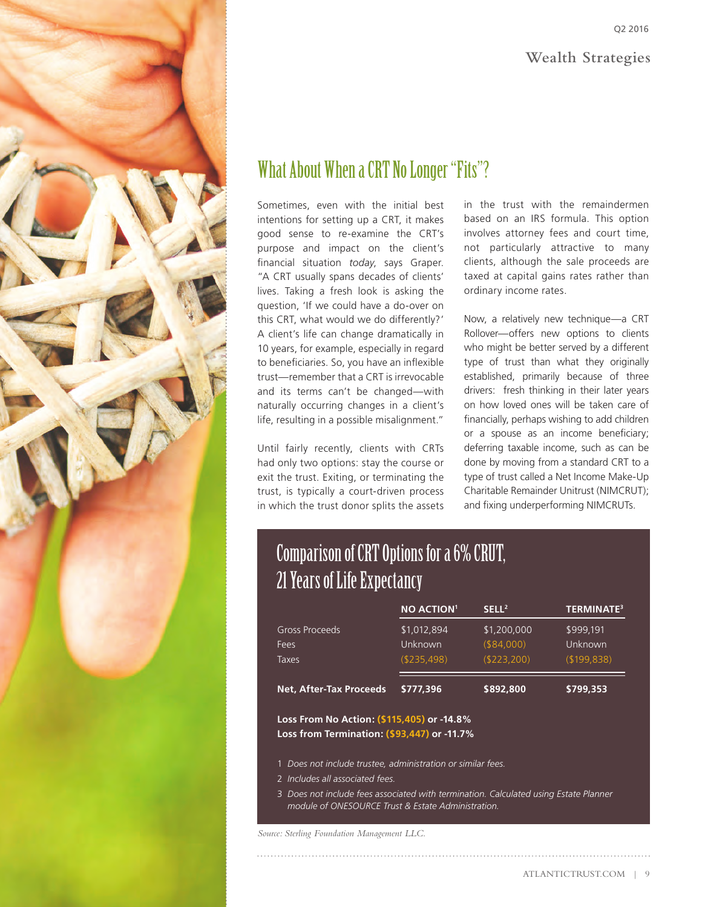

## What About When a CRT No Longer "Fits"?

Sometimes, even with the initial best intentions for setting up a CRT, it makes good sense to re-examine the CRT's purpose and impact on the client's financial situation *today*, says Graper. "A CRT usually spans decades of clients' lives. Taking a fresh look is asking the question, 'If we could have a do-over on this CRT, what would we do differently?' A client's life can change dramatically in 10 years, for example, especially in regard to beneficiaries. So, you have an inflexible trust—remember that a CRT is irrevocable and its terms can't be changed—with naturally occurring changes in a client's life, resulting in a possible misalignment."

Until fairly recently, clients with CRTs had only two options: stay the course or exit the trust. Exiting, or terminating the trust, is typically a court-driven process in which the trust donor splits the assets

in the trust with the remaindermen based on an IRS formula. This option involves attorney fees and court time, not particularly attractive to many clients, although the sale proceeds are taxed at capital gains rates rather than ordinary income rates.

Now, a relatively new technique—a CRT Rollover—offers new options to clients who might be better served by a different type of trust than what they originally established, primarily because of three drivers: fresh thinking in their later years on how loved ones will be taken care of financially, perhaps wishing to add children or a spouse as an income beneficiary; deferring taxable income, such as can be done by moving from a standard CRT to a type of trust called a Net Income Make-Up Charitable Remainder Unitrust (NIMCRUT); and fixing underperforming NIMCRUTs.

## Comparison of CRT Options for a 6% CRUT, 21 Years of Life Expectancy

|                                        | <b>NO ACTION1</b>                     | SELL <sup>2</sup>                           | <b>TERMINATE<sup>3</sup></b>          |
|----------------------------------------|---------------------------------------|---------------------------------------------|---------------------------------------|
| <b>Gross Proceeds</b><br>Fees<br>Taxes | \$1,012,894<br>Unknown<br>(\$235.498) | \$1,200,000<br>$($ \$84,000)<br>(\$223,200) | \$999.191<br>Unknown<br>( \$199, 838) |
| <b>Net, After-Tax Proceeds</b>         | \$777.396                             | \$892,800                                   | \$799.353                             |
|                                        |                                       |                                             |                                       |

**Loss From No Action: ( Loss from Termination: (\$93,447) or -11.7%**

- 1 *Does not include trustee, administration or similar fees.*
- 2 *Includes all associated fees.*
- 3 *Does not include fees associated with termination. Calculated using Estate Planner module of ONESOURCE Trust & Estate Administration.*

*Source: Sterling Foundation Management LLC.*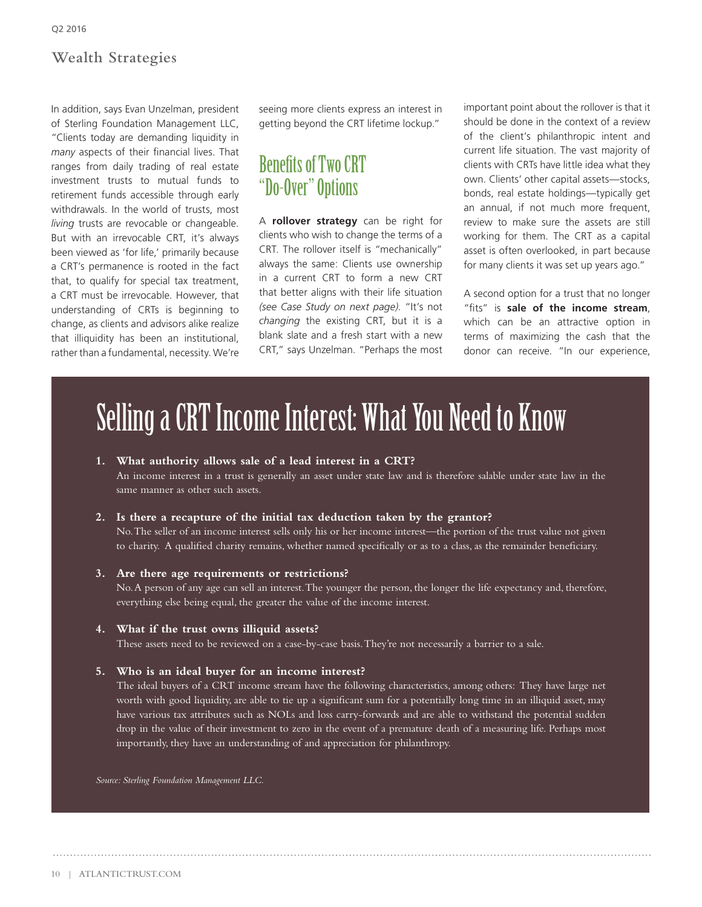#### **Wealth Strategies**

In addition, says Evan Unzelman, president of Sterling Foundation Management LLC, "Clients today are demanding liquidity in *many* aspects of their financial lives. That ranges from daily trading of real estate investment trusts to mutual funds to retirement funds accessible through early withdrawals. In the world of trusts, most *living* trusts are revocable or changeable. But with an irrevocable CRT, it's always been viewed as 'for life,' primarily because a CRT's permanence is rooted in the fact that, to qualify for special tax treatment, a CRT must be irrevocable. However, that understanding of CRTs is beginning to change, as clients and advisors alike realize that illiquidity has been an institutional, rather than a fundamental, necessity. We're seeing more clients express an interest in getting beyond the CRT lifetime lockup."

### Benefits of Two CRT "Do-Over" Options

A **rollover strategy** can be right for clients who wish to change the terms of a CRT. The rollover itself is "mechanically" always the same: Clients use ownership in a current CRT to form a new CRT that better aligns with their life situation *(see Case Study on next page)*. "It's not *changing* the existing CRT, but it is a blank slate and a fresh start with a new CRT," says Unzelman. "Perhaps the most important point about the rollover is that it should be done in the context of a review of the client's philanthropic intent and current life situation. The vast majority of clients with CRTs have little idea what they own. Clients' other capital assets—stocks, bonds, real estate holdings—typically get an annual, if not much more frequent, review to make sure the assets are still working for them. The CRT as a capital asset is often overlooked, in part because for many clients it was set up years ago."

A second option for a trust that no longer "fits" is **sale of the income stream**, which can be an attractive option in terms of maximizing the cash that the donor can receive. "In our experience,

# Selling a CRT Income Interest: What You Need to Know

#### **1. What authority allows sale of a lead interest in a CRT?**

An income interest in a trust is generally an asset under state law and is therefore salable under state law in the same manner as other such assets.

#### **2. Is there a recapture of the initial tax deduction taken by the grantor?**

No. The seller of an income interest sells only his or her income interest—the portion of the trust value not given to charity. A qualified charity remains, whether named specifically or as to a class, as the remainder beneficiary.

**3. Are there age requirements or restrictions?** 

No. A person of any age can sell an interest. The younger the person, the longer the life expectancy and, therefore, everything else being equal, the greater the value of the income interest.

#### **4. What if the trust owns illiquid assets?**

These assets need to be reviewed on a case-by-case basis. They're not necessarily a barrier to a sale.

#### **5. Who is an ideal buyer for an income interest?**

The ideal buyers of a CRT income stream have the following characteristics, among others: They have large net worth with good liquidity, are able to tie up a significant sum for a potentially long time in an illiquid asset, may have various tax attributes such as NOLs and loss carry-forwards and are able to withstand the potential sudden drop in the value of their investment to zero in the event of a premature death of a measuring life. Perhaps most importantly, they have an understanding of and appreciation for philanthropy.

*Source: Sterling Foundation Management LLC.*